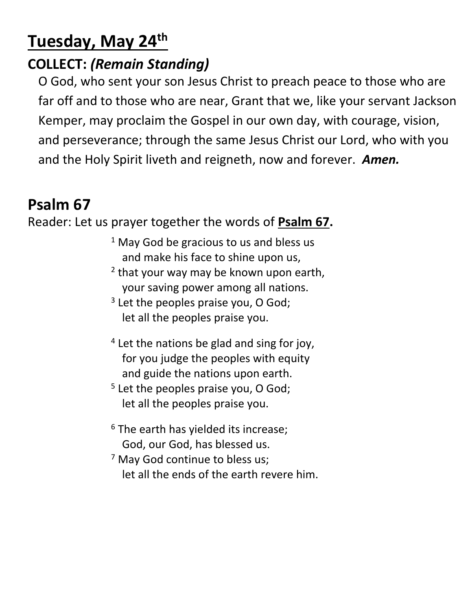# **Tuesday, May 24th**

### **COLLECT:** *(Remain Standing)*

O God, who sent your son Jesus Christ to preach peace to those who are far off and to those who are near, Grant that we, like your servant Jackson Kemper, may proclaim the Gospel in our own day, with courage, vision, and perseverance; through the same Jesus Christ our Lord, who with you and the Holy Spirit liveth and reigneth, now and forever. *Amen.*

## **Psalm 67**

#### Reader: Let us prayer together the words of **Psalm 67.**

- $1$  May God be gracious to us and bless us and make his face to shine upon us,
- <sup>2</sup> that your way may be known upon earth, your saving power among all nations.
- <sup>3</sup> Let the peoples praise you, O God; let all the peoples praise you.
- <sup>4</sup> Let the nations be glad and sing for joy, for you judge the peoples with equity and guide the nations upon earth.
- <sup>5</sup> Let the peoples praise you, O God; let all the peoples praise you.
- $6$  The earth has yielded its increase; God, our God, has blessed us.
- <sup>7</sup> May God continue to bless us; let all the ends of the earth revere him.